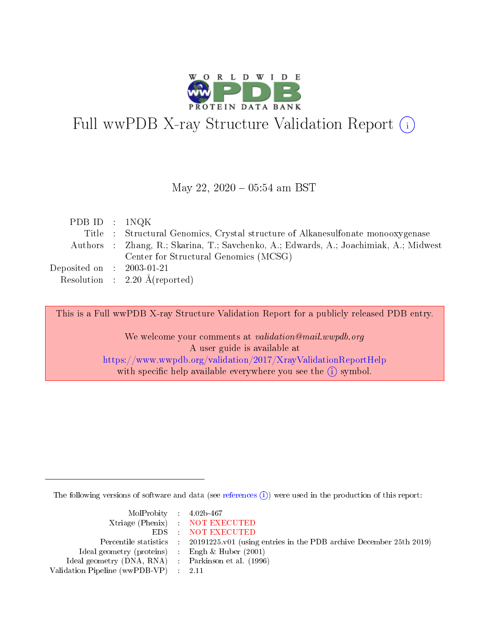

# Full wwPDB X-ray Structure Validation Report (i)

#### May 22,  $2020 - 05:54$  am BST

| PDB ID : $1NQK$                      |                                                                                       |
|--------------------------------------|---------------------------------------------------------------------------------------|
|                                      | Title : Structural Genomics, Crystal structure of Alkanesulfonate monooxygenese       |
|                                      | Authors : Zhang, R.; Skarina, T.; Savchenko, A.; Edwards, A.; Joachimiak, A.; Midwest |
|                                      | Center for Structural Genomics (MCSG)                                                 |
| Deposited on $\therefore$ 2003-01-21 |                                                                                       |
|                                      | Resolution : $2.20 \text{ Å}$ (reported)                                              |
|                                      |                                                                                       |

This is a Full wwPDB X-ray Structure Validation Report for a publicly released PDB entry.

We welcome your comments at validation@mail.wwpdb.org A user guide is available at <https://www.wwpdb.org/validation/2017/XrayValidationReportHelp> with specific help available everywhere you see the  $(i)$  symbol.

The following versions of software and data (see [references](https://www.wwpdb.org/validation/2017/XrayValidationReportHelp#references)  $\overline{(1)}$ ) were used in the production of this report:

| $MolProbability$ 4.02b-467                          |                                                                                            |
|-----------------------------------------------------|--------------------------------------------------------------------------------------------|
|                                                     | Xtriage (Phenix) NOT EXECUTED                                                              |
|                                                     | EDS NOT EXECUTED                                                                           |
|                                                     | Percentile statistics : 20191225.v01 (using entries in the PDB archive December 25th 2019) |
| Ideal geometry (proteins) : Engh $\&$ Huber (2001)  |                                                                                            |
| Ideal geometry (DNA, RNA) : Parkinson et al. (1996) |                                                                                            |
| Validation Pipeline (wwPDB-VP) : 2.11               |                                                                                            |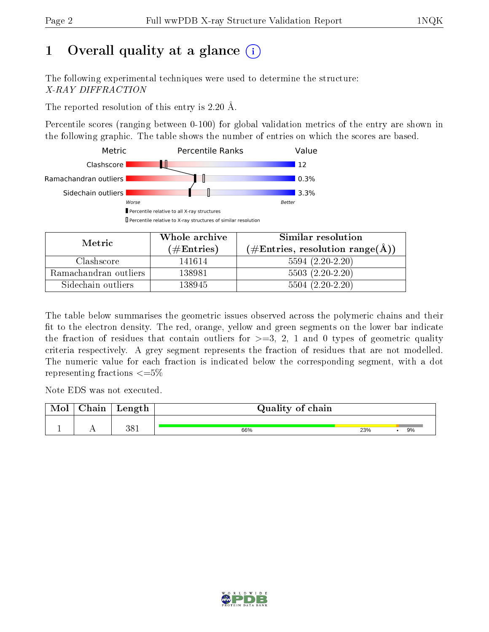# 1 [O](https://www.wwpdb.org/validation/2017/XrayValidationReportHelp#overall_quality)verall quality at a glance  $(i)$

The following experimental techniques were used to determine the structure: X-RAY DIFFRACTION

The reported resolution of this entry is 2.20 Å.

Percentile scores (ranging between 0-100) for global validation metrics of the entry are shown in the following graphic. The table shows the number of entries on which the scores are based.



| Metric                | Whole archive<br>$(\#\text{Entries})$ | Similar resolution<br>$(\#\text{Entries}, \text{resolution range}(\text{\AA}))$ |  |
|-----------------------|---------------------------------------|---------------------------------------------------------------------------------|--|
| Clashscore            | 141614                                | $5594(2.20-2.20)$                                                               |  |
| Ramachandran outliers | 138981                                | $5503(2.20-2.20)$                                                               |  |
| Sidechain outliers    | 138945                                | $5504(2.20-2.20)$                                                               |  |

The table below summarises the geometric issues observed across the polymeric chains and their fit to the electron density. The red, orange, yellow and green segments on the lower bar indicate the fraction of residues that contain outliers for  $\geq=3$ , 2, 1 and 0 types of geometric quality criteria respectively. A grey segment represents the fraction of residues that are not modelled. The numeric value for each fraction is indicated below the corresponding segment, with a dot representing fractions  $\leq=5\%$ 

Note EDS was not executed.

| Mol | $\cap$ hain | Length | Quality of chain |     |    |
|-----|-------------|--------|------------------|-----|----|
|     |             | 381    | 66%              | 23% | 9% |

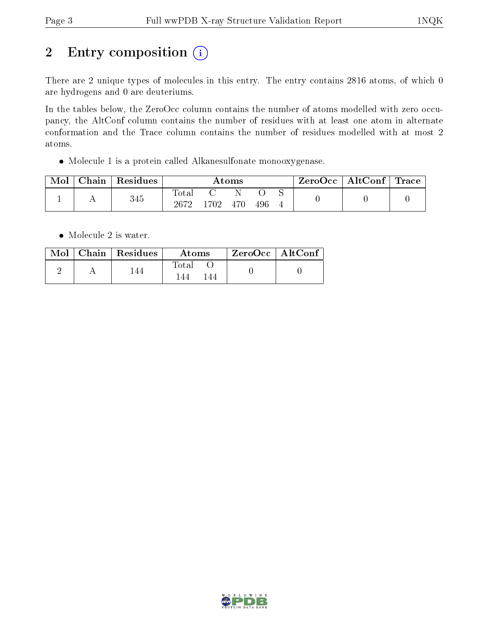# 2 Entry composition (i)

There are 2 unique types of molecules in this entry. The entry contains 2816 atoms, of which 0 are hydrogens and 0 are deuteriums.

In the tables below, the ZeroOcc column contains the number of atoms modelled with zero occupancy, the AltConf column contains the number of residues with at least one atom in alternate conformation and the Trace column contains the number of residues modelled with at most 2 atoms.

Molecule 1 is a protein called Alkanesulfonate monooxygenase.

| Mol | Chain | Residues |               |      | $\bm{\mathrm{Atoms}}$ |     | $\text{ZeroOcc} \mid \text{AltConf} \mid \text{Trace}$ |  |
|-----|-------|----------|---------------|------|-----------------------|-----|--------------------------------------------------------|--|
|     | . .   | 345      | Total<br>2672 | 1702 | 470                   | 496 |                                                        |  |

• Molecule 2 is water.

|  | $\text{Mol}$   Chain   Residues | Atoms         | $^{\prime}$ ZeroOcc   AltConf $^{\prime}$ |  |
|--|---------------------------------|---------------|-------------------------------------------|--|
|  |                                 | Total<br>l 44 |                                           |  |

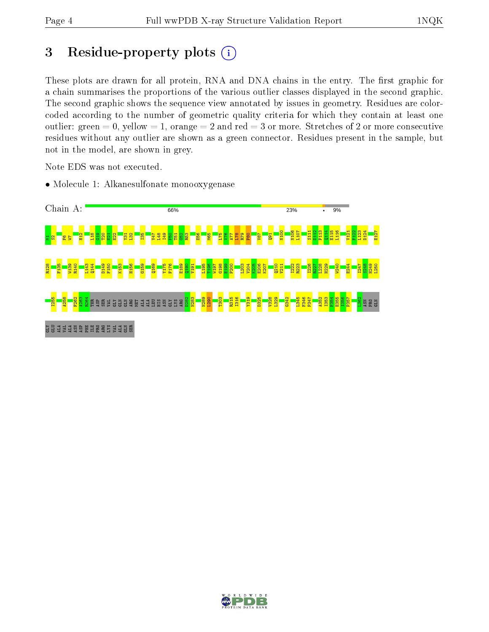# 3 Residue-property plots  $(i)$

These plots are drawn for all protein, RNA and DNA chains in the entry. The first graphic for a chain summarises the proportions of the various outlier classes displayed in the second graphic. The second graphic shows the sequence view annotated by issues in geometry. Residues are colorcoded according to the number of geometric quality criteria for which they contain at least one outlier: green  $= 0$ , yellow  $= 1$ , orange  $= 2$  and red  $= 3$  or more. Stretches of 2 or more consecutive residues without any outlier are shown as a green connector. Residues present in the sample, but not in the model, are shown in grey.

Note EDS was not executed.

• Molecule 1: Alkanesulfonate monooxygenase



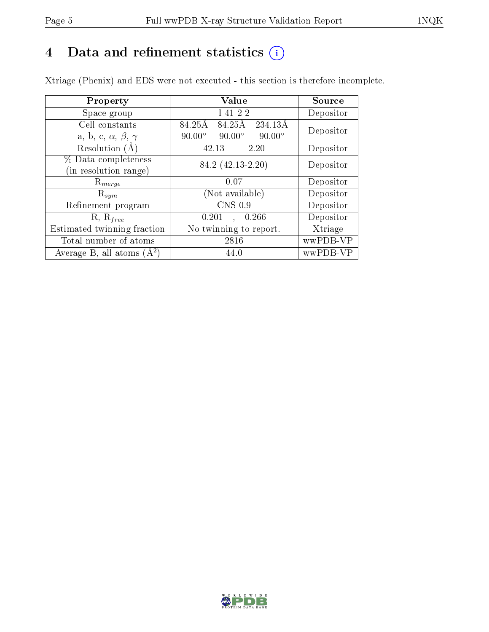# 4 Data and refinement statistics  $(i)$

Xtriage (Phenix) and EDS were not executed - this section is therefore incomplete.

| Property                               | Value                                           | Source    |  |
|----------------------------------------|-------------------------------------------------|-----------|--|
| Space group                            | I 41 2 2                                        | Depositor |  |
| Cell constants                         | 84.25Å<br>84.25Å<br>234.13A                     | Depositor |  |
| a, b, c, $\alpha$ , $\beta$ , $\gamma$ | $90.00^\circ$<br>$90.00^\circ$<br>$90.00^\circ$ |           |  |
| Resolution (A)                         | 42.13<br>- 2.20                                 | Depositor |  |
| % Data completeness                    | 84.2 (42.13-2.20)                               | Depositor |  |
| (in resolution range)                  |                                                 |           |  |
| $R_{merge}$                            | 0.07                                            | Depositor |  |
| $\mathrm{R}_{sym}$                     | (Not available)                                 | Depositor |  |
| Refinement program                     | CNS 0.9                                         | Depositor |  |
| $R, R_{free}$                          | 0.266<br>0.201                                  | Depositor |  |
| Estimated twinning fraction            | No twinning to report.                          | Xtriage   |  |
| Total number of atoms                  | 2816                                            | wwPDB-VP  |  |
| Average B, all atoms $(A^2)$           | 44.0                                            | wwPDB-VP  |  |

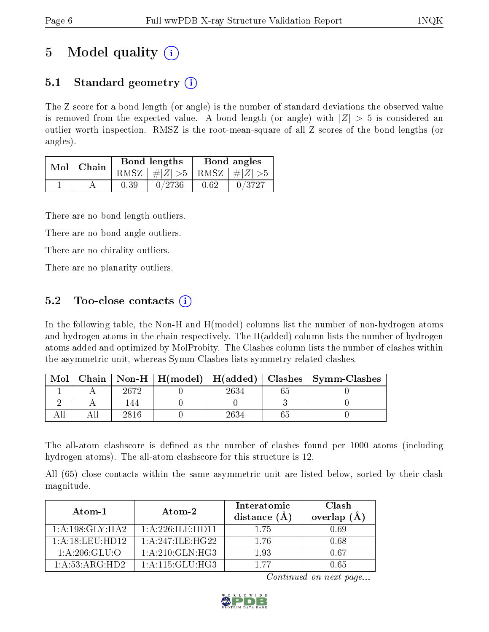# 5 Model quality  $(i)$

## 5.1 Standard geometry  $(i)$

The Z score for a bond length (or angle) is the number of standard deviations the observed value is removed from the expected value. A bond length (or angle) with  $|Z| > 5$  is considered an outlier worth inspection. RMSZ is the root-mean-square of all Z scores of the bond lengths (or angles).

| Mol | Chain |      | <b>Bond lengths</b>             | Bond angles |        |  |
|-----|-------|------|---------------------------------|-------------|--------|--|
|     |       |      | RMSZ $ #Z  > 5$ RMSZ $ #Z  > 5$ |             |        |  |
|     |       | 0.39 | 0/2736                          | 0.62        | 0/3727 |  |

There are no bond length outliers.

There are no bond angle outliers.

There are no chirality outliers.

There are no planarity outliers.

## 5.2 Too-close contacts  $\overline{()}$

In the following table, the Non-H and H(model) columns list the number of non-hydrogen atoms and hydrogen atoms in the chain respectively. The H(added) column lists the number of hydrogen atoms added and optimized by MolProbity. The Clashes column lists the number of clashes within the asymmetric unit, whereas Symm-Clashes lists symmetry related clashes.

| Mol |      |  | Chain   Non-H   H(model)   H(added)   Clashes   Symm-Clashes |
|-----|------|--|--------------------------------------------------------------|
|     | 2672 |  |                                                              |
|     |      |  |                                                              |
|     | 2816 |  |                                                              |

The all-atom clashscore is defined as the number of clashes found per 1000 atoms (including hydrogen atoms). The all-atom clashscore for this structure is 12.

All (65) close contacts within the same asymmetric unit are listed below, sorted by their clash magnitude.

| Atom-1            | Atom-2              | Interatomic<br>distance $(A)$ | Clash<br>overlap $(A)$ |
|-------------------|---------------------|-------------------------------|------------------------|
| 1: A:198: GLY:HA2 | 1: A:226: ILE:HD11  | 175                           | 0.69                   |
| 1: A:18:LEU:HD12  | 1: A:247: ILE: HG22 | 176                           | 0.68                   |
| 1: A:206: GLU:O   | 1: A:210: GLN: HG3  | 193                           | በ 67                   |
| 1: A:53: ARG:HD2  | 1: A:115: GLU: HG3  | 1 77                          | N 65                   |

Continued on next page...

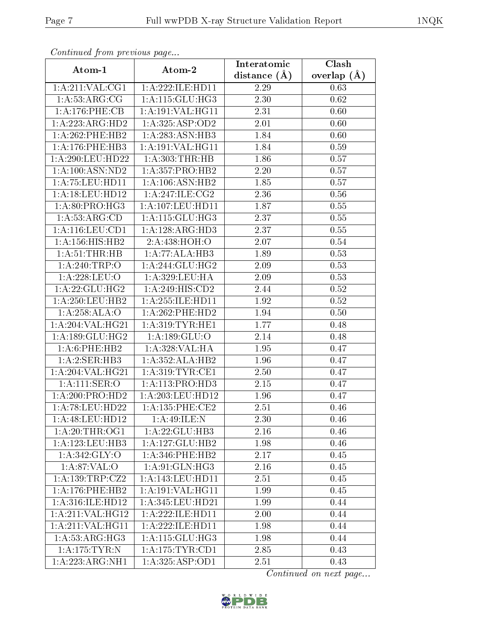| Continuea from previous page |                              | Interatomic    | $\overline{\text{Clash}}$ |
|------------------------------|------------------------------|----------------|---------------------------|
| Atom-1                       | Atom-2                       | distance $(A)$ | overlap $(A)$             |
| 1: A:211: VAL:CG1            | $1:$ A:222:ILE:HD11          | 2.29           | 0.63                      |
| $1:\overline{A:53:ARG:CG}$   | 1: A:115: GLU:HG3            | 2.30           | 0.62                      |
| 1: A: 176: PHE: CB           | 1: A:191: VAL:HGI1           | 2.31           | 0.60                      |
| 1:A:223:ARG:HD2              | 1:A:325:ASP:OD2              | 2.01           | 0.60                      |
| 1:A:262:PHE:HB2              | 1:A:283:ASN:HB3              | 1.84           | 0.60                      |
| 1: A:176: PHE:HB3            | 1:A:191:VAL:HG11             | 1.84           | 0.59                      |
| 1: A:290: LEU: HD22          | 1: A:303:THR:HB              | 1.86           | 0.57                      |
| 1:A:100:ASN:ND2              | 1: A: 357: PRO: HB2          | 2.20           | 0.57                      |
| 1: A: 75: LEU: HD11          | 1: A: 106: ASN: HB2          | 1.85           | 0.57                      |
| 1:A:18:LEU:HD12              | 1: A:247: ILE: CG2           | 2.36           | $0.56\,$                  |
| 1: A:80: PRO:HG3             | 1: A: 107: LEU: HD11         | 1.87           | $0.55\,$                  |
| 1:A:53:ARG:CD                | 1: A:115: GLU:HG3            | 2.37           | 0.55                      |
| 1:A:116:LEU:CD1              | 1:A:128:ARG:HD3              | 2.37           | 0.55                      |
| 1:A:156:HIS:HB2              | 2:A:438:HOH:O                | 2.07           | 0.54                      |
| 1:A:51:THR:HB                | 1:A:77:ALA:HB3               | 1.89           | 0.53                      |
| 1:A:240:TRP:O                | 1: A:244: GLU:HG2            | 2.09           | 0.53                      |
| 1:A:228:LEU:O                | 1:A:329:LEU:HA               | 2.09           | 0.53                      |
| 1: A:22: GLU:HG2             | 1:A:249:HIS:CD2              | 2.44           | $0.52\,$                  |
| 1:A:250:LEU:HB2              | 1:A:255:ILE:HD11             | 1.92           | $0.52\,$                  |
| 1:A:258:ALA:O                | $1: A:262:$ PHE:HD2          | 1.94           | 0.50                      |
| 1:A:204:VAL:HG21             | 1: A:319: TYR: HE1           | 1.77           | 0.48                      |
| 1: A: 189: GLU: HG2          | 1: A: 189: GLU:O             | 2.14           | 0.48                      |
| 1: A:6: PHE: HB2             | 1:A:328:VAL:HA               | 1.95           | 0.47                      |
| 1:A:2:SER:HB3                | $1:A:352:ALA:\overline{HB2}$ | 1.96           | 0.47                      |
| 1:A:204:VAL:HG21             | 1: A:319: TYR: CE1           | 2.50           | 0.47                      |
| 1: A: 111: SER: O            | 1:A:113:PRO:HD3              | 2.15           | 0.47                      |
| 1:A:200:PRO:HD2              | 1:A:203:LEU:HD12             | 1.96           | 0.47                      |
| 1: A:78: LEU: HD22           | 1: A: 135: PHE: CE2          | 2.51           | 0.46                      |
| 1:A:48:LEU:HD12              | 1:A:49:ILE:N                 | 2.30           | 0.46                      |
| 1: A:20:THR:OG1              | 1: A:22: GLU:HB3             | 2.16           | 0.46                      |
| 1:A:123:LEU:HB3              | 1:A:127:GLU:HB2              | 1.98           | 0.46                      |
| 1: A:342: GLY:O              | $1: A:346:$ PHE:HB2          | 2.17           | 0.45                      |
| 1: A:87:VAL:O                | 1: A:91: GLN: HG3            | 2.16           | 0.45                      |
| 1:A:139:TRP:CZ2              | 1:A:143:LEU:HD11             | 2.51           | 0.45                      |
| 1:A:176:PHE:HB2              | 1: A: 191: VAL: HG11         | 1.99           | 0.45                      |
| 1:A:316:ILE:HD12             | 1: A:345:LEU:HD21            | 1.99           | 0.44                      |
| 1:A:211:VAL:HG12             | 1:A:222:ILE:HD11             | 2.00           | 0.44                      |
| 1:A:211:VAL:HG11             | 1:A:222:ILE:HD11             | 1.98           | 0.44                      |
| 1: A:53: ARG:HG3             | 1:A:115:GLU:HG3              | 1.98           | 0.44                      |
| 1: A:175: TYR: N             | 1: A:175: TYR: CD1           | 2.85           | 0.43                      |
| 1:A:223:ARG:NH1              | 1:A:325:ASP:OD1              | 2.51           | 0.43                      |

Continued from previous page.

Continued on next page...

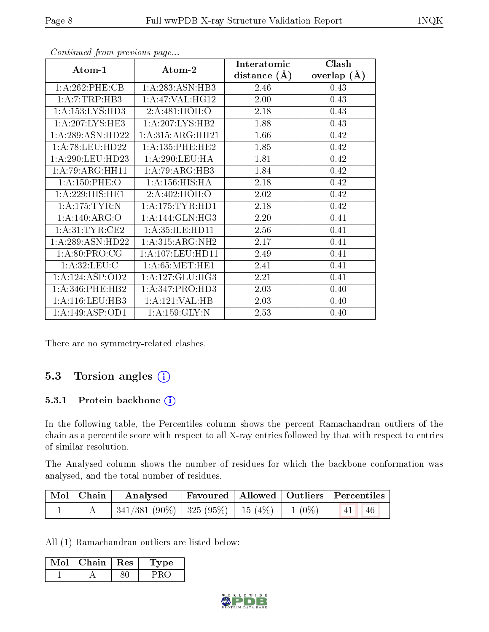|                     |                      | Interatomic    | Clash         |
|---------------------|----------------------|----------------|---------------|
| Atom-1              | Atom-2               | distance $(A)$ | overlap $(A)$ |
| 1:A:262:PHE:CB      | 1:A:283:ASN:HB3      | 2.46           | 0.43          |
| 1:A:7:TRP:HB3       | 1:A:47:VAL:HG12      | 2.00           | 0.43          |
| 1: A: 153: LYS: HD3 | 2:A:481:HOH:O        | 2.18           | 0.43          |
| 1: A:207:LYS:HE3    | 1: A:207:LYS:HB2     | 1.88           | 0.43          |
| 1:A:289:ASN:HD22    | 1:A:315:ARG:HH21     | 1.66           | 0.42          |
| 1: A:78: LEU: HD22  | 1: A: 135: PHE: HE2  | 1.85           | 0.42          |
| 1: A:290:LEU:HD23   | 1: A:290:LEU:HA      | 1.81           | 0.42          |
| 1:A:79:ARG:HH11     | 1:A:79:ARG:HB3       | 1.84           | 0.42          |
| 1: A:150: PHE:O     | 1: A: 156: HIS: HA   | 2.18           | 0.42          |
| 1:A:229:HIS:HEL     | 2:A:402:HOH:O        | 2.02           | 0.42          |
| 1: A:175: TYR: N    | 1: A: 175: TYR: HD1  | 2.18           | 0.42          |
| 1:A:140:ARG:O       | 1: A:144: GLN: HG3   | 2.20           | 0.41          |
| 1: A:31:TYR:CE2     | 1: A:35: ILE: HDI1   | 2.56           | 0.41          |
| 1:A:289:ASN:HD22    | 1:A:315:ARG:NH2      | 2.17           | 0.41          |
| 1:A:80:PRO:CG       | 1: A: 107: LEU: HD11 | 2.49           | 0.41          |
| 1: A:32:LEU: C      | 1: A:65: MET:HE1     | 2.41           | 0.41          |
| 1: A: 124: ASP: OD2 | 1: A: 127: GLU: HG3  | 2.21           | 0.41          |
| 1:A:346:PHE:HB2     | 1:A:347:PRO:HD3      | 2.03           | 0.40          |
| 1:A:116:LEU:HB3     | 1:A:121:VAL:HB       | 2.03           | 0.40          |
| 1:A:149:ASP:OD1     | 1: A: 159: GLY:N     | 2.53           | 0.40          |

Continued from previous page...

There are no symmetry-related clashes.

## 5.3 Torsion angles (i)

#### 5.3.1 Protein backbone (i)

In the following table, the Percentiles column shows the percent Ramachandran outliers of the chain as a percentile score with respect to all X-ray entries followed by that with respect to entries of similar resolution.

The Analysed column shows the number of residues for which the backbone conformation was analysed, and the total number of residues.

| Mol   Chain | Analysed   Favoured   Allowed   Outliers   Percentiles |  |                                 |  |
|-------------|--------------------------------------------------------|--|---------------------------------|--|
|             | 341/381 (90%)   325 (95%)   15 (4%)   1 (0%)           |  | $\vert 41 \vert \vert 46 \vert$ |  |

All (1) Ramachandran outliers are listed below:

| Mol | Chain | Res | тре |
|-----|-------|-----|-----|
|     |       |     |     |

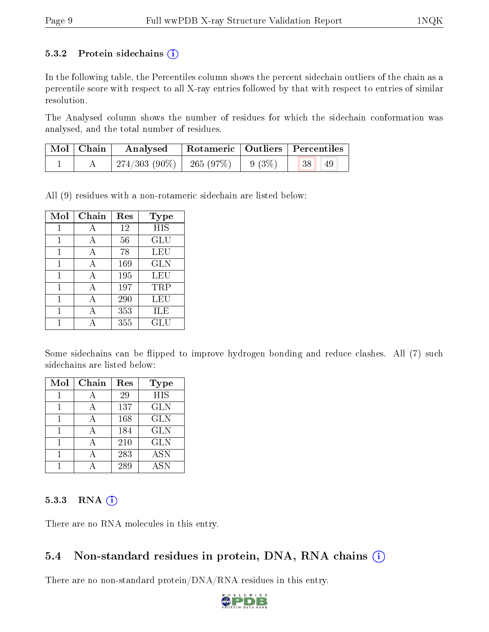#### 5.3.2 Protein sidechains  $(i)$

In the following table, the Percentiles column shows the percent sidechain outliers of the chain as a percentile score with respect to all X-ray entries followed by that with respect to entries of similar resolution.

The Analysed column shows the number of residues for which the sidechain conformation was analysed, and the total number of residues.

| $\mid$ Mol $\mid$ Chain $\mid$ | Analysed   Rotameric   Outliers   Percentiles       |  |           |
|--------------------------------|-----------------------------------------------------|--|-----------|
|                                | $\mid$ 274/303 (90%) $\mid$ 265 (97%) $\mid$ 9 (3%) |  | 38 <br>49 |

All (9) residues with a non-rotameric sidechain are listed below:

| Mol | ${\rm Chain}$ | Res | <b>Type</b> |
|-----|---------------|-----|-------------|
| 1   | A             | 12  | <b>HIS</b>  |
|     | А             | 56  | GLU         |
|     | А             | 78  | <b>LEU</b>  |
| 1   | А             | 169 | <b>GLN</b>  |
| 1   | А             | 195 | LEU         |
| 1   | А             | 197 | TRP         |
| 1   | А             | 290 | LEU         |
|     |               | 353 | ILE         |
|     |               | 355 | ${\rm GLU}$ |

Some sidechains can be flipped to improve hydrogen bonding and reduce clashes. All (7) such sidechains are listed below:

| Mol | Chain | Res | <b>Type</b> |
|-----|-------|-----|-------------|
|     | А     | 29  | <b>HIS</b>  |
|     |       | 137 | <b>GLN</b>  |
|     | А     | 168 | <b>GLN</b>  |
|     | А     | 184 | <b>GLN</b>  |
|     |       | 210 | <b>GLN</b>  |
|     | А     | 283 | <b>ASN</b>  |
|     |       | 289 | <b>ASN</b>  |

#### 5.3.3 RNA (i)

There are no RNA molecules in this entry.

### 5.4 Non-standard residues in protein, DNA, RNA chains  $(i)$

There are no non-standard protein/DNA/RNA residues in this entry.

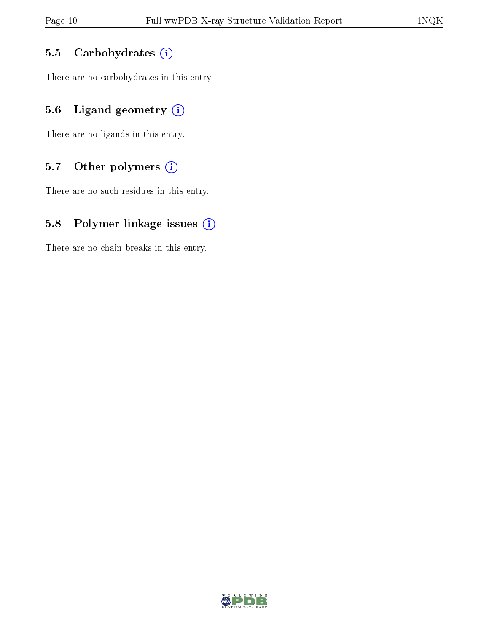#### 5.5 Carbohydrates (i)

There are no carbohydrates in this entry.

## 5.6 Ligand geometry  $(i)$

There are no ligands in this entry.

## 5.7 [O](https://www.wwpdb.org/validation/2017/XrayValidationReportHelp#nonstandard_residues_and_ligands)ther polymers  $(i)$

There are no such residues in this entry.

### 5.8 Polymer linkage issues  $(i)$

There are no chain breaks in this entry.